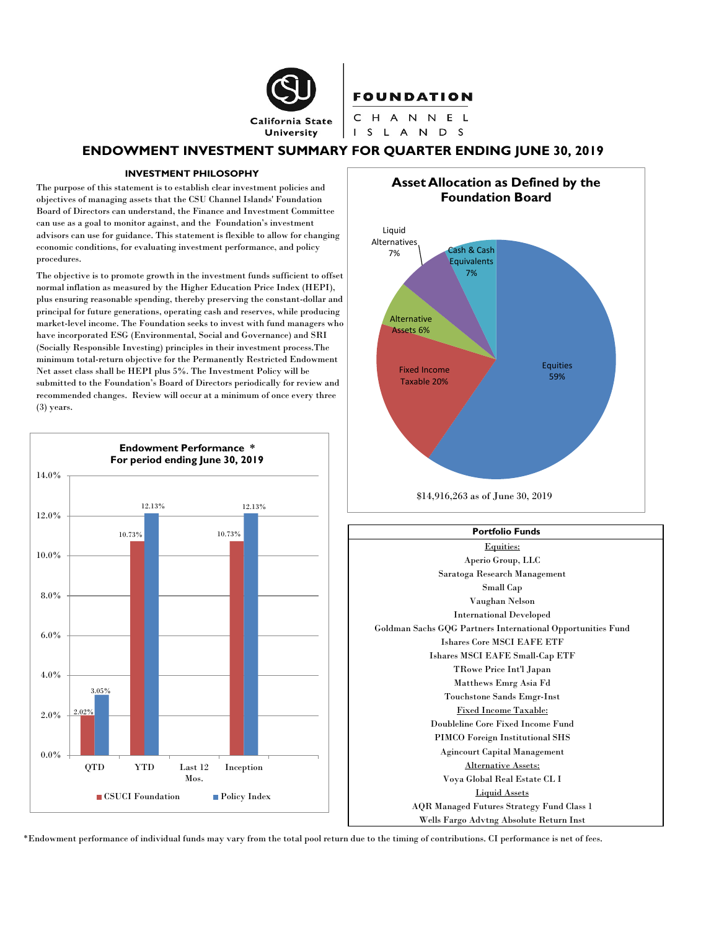

### **FOUNDATION**

CHANNEL I S L A N D S

## **ENDOWMENT INVESTMENT SUMMARY FOR QUARTER ENDING JUNE 30, 2019**

#### **INVESTMENT PHILOSOPHY**

The purpose of this statement is to establish clear investment policies and objectives of managing assets that the CSU Channel Islands' Foundation Board of Directors can understand, the Finance and Investment Committee can use as a goal to monitor against, and the Foundation's investment advisors can use for guidance. This statement is flexible to allow for changing economic conditions, for evaluating investment performance, and policy procedures.

The objective is to promote growth in the investment funds sufficient to offset normal inflation as measured by the Higher Education Price Index (HEPI), plus ensuring reasonable spending, thereby preserving the constant-dollar and principal for future generations, operating cash and reserves, while producing market-level income. The Foundation seeks to invest with fund managers who have incorporated ESG (Environmental, Social and Governance) and SRI (Socially Responsible Investing) principles in their investment process.The minimum total-return objective for the Permanently Restricted Endowment Net asset class shall be HEPI plus 5%. The Investment Policy will be submitted to the Foundation's Board of Directors periodically for review and recommended changes. Review will occur at a minimum of once every three (3) years.



Equities 59% Alternative Assets 6% Fixed Income Taxable 20% Liquid Alternatives Cash & Cash Equivalents 7% **Asset Allocation as Defined by the Foundation Board** \$14,916,263 as of June 30, 2019



\*Endowment performance of individual funds may vary from the total pool return due to the timing of contributions. CI performance is net of fees.